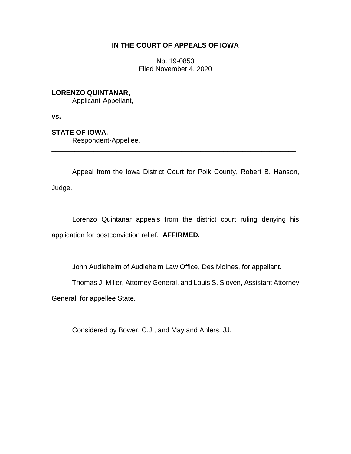## **IN THE COURT OF APPEALS OF IOWA**

No. 19-0853 Filed November 4, 2020

## **LORENZO QUINTANAR,**

Applicant-Appellant,

**vs.**

## **STATE OF IOWA,**

Respondent-Appellee.

Appeal from the Iowa District Court for Polk County, Robert B. Hanson, Judge.

\_\_\_\_\_\_\_\_\_\_\_\_\_\_\_\_\_\_\_\_\_\_\_\_\_\_\_\_\_\_\_\_\_\_\_\_\_\_\_\_\_\_\_\_\_\_\_\_\_\_\_\_\_\_\_\_\_\_\_\_\_\_\_\_

Lorenzo Quintanar appeals from the district court ruling denying his application for postconviction relief. **AFFIRMED.**

John Audlehelm of Audlehelm Law Office, Des Moines, for appellant.

Thomas J. Miller, Attorney General, and Louis S. Sloven, Assistant Attorney

General, for appellee State.

Considered by Bower, C.J., and May and Ahlers, JJ.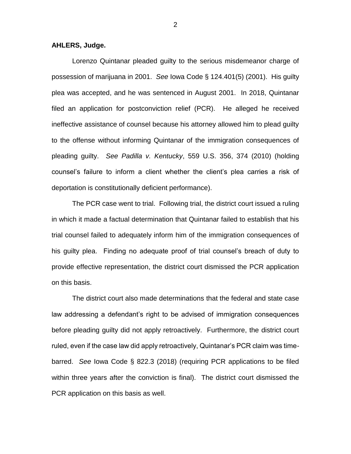## **AHLERS, Judge.**

Lorenzo Quintanar pleaded guilty to the serious misdemeanor charge of possession of marijuana in 2001. *See* Iowa Code § 124.401(5) (2001). His guilty plea was accepted, and he was sentenced in August 2001. In 2018, Quintanar filed an application for postconviction relief (PCR). He alleged he received ineffective assistance of counsel because his attorney allowed him to plead guilty to the offense without informing Quintanar of the immigration consequences of pleading guilty. *See Padilla v. Kentucky*, 559 U.S. 356, 374 (2010) (holding counsel's failure to inform a client whether the client's plea carries a risk of deportation is constitutionally deficient performance).

The PCR case went to trial. Following trial, the district court issued a ruling in which it made a factual determination that Quintanar failed to establish that his trial counsel failed to adequately inform him of the immigration consequences of his guilty plea. Finding no adequate proof of trial counsel's breach of duty to provide effective representation, the district court dismissed the PCR application on this basis.

The district court also made determinations that the federal and state case law addressing a defendant's right to be advised of immigration consequences before pleading guilty did not apply retroactively. Furthermore, the district court ruled, even if the case law did apply retroactively, Quintanar's PCR claim was timebarred. *See* Iowa Code § 822.3 (2018) (requiring PCR applications to be filed within three years after the conviction is final). The district court dismissed the PCR application on this basis as well.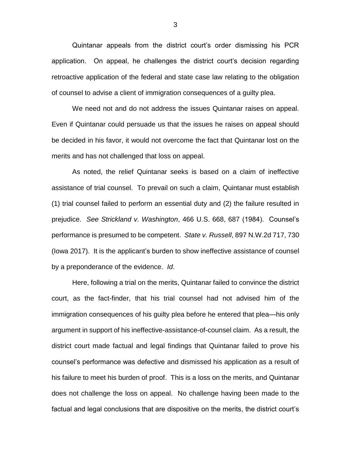Quintanar appeals from the district court's order dismissing his PCR application. On appeal, he challenges the district court's decision regarding retroactive application of the federal and state case law relating to the obligation of counsel to advise a client of immigration consequences of a guilty plea.

We need not and do not address the issues Quintanar raises on appeal. Even if Quintanar could persuade us that the issues he raises on appeal should be decided in his favor, it would not overcome the fact that Quintanar lost on the merits and has not challenged that loss on appeal.

As noted, the relief Quintanar seeks is based on a claim of ineffective assistance of trial counsel. To prevail on such a claim, Quintanar must establish (1) trial counsel failed to perform an essential duty and (2) the failure resulted in prejudice. *See Strickland v. Washington*, 466 U.S. 668, 687 (1984). Counsel's performance is presumed to be competent. *State v. Russell*, 897 N.W.2d 717, 730 (Iowa 2017). It is the applicant's burden to show ineffective assistance of counsel by a preponderance of the evidence. *Id*.

Here, following a trial on the merits, Quintanar failed to convince the district court, as the fact-finder, that his trial counsel had not advised him of the immigration consequences of his guilty plea before he entered that plea—his only argument in support of his ineffective-assistance-of-counsel claim. As a result, the district court made factual and legal findings that Quintanar failed to prove his counsel's performance was defective and dismissed his application as a result of his failure to meet his burden of proof. This is a loss on the merits, and Quintanar does not challenge the loss on appeal. No challenge having been made to the factual and legal conclusions that are dispositive on the merits, the district court's